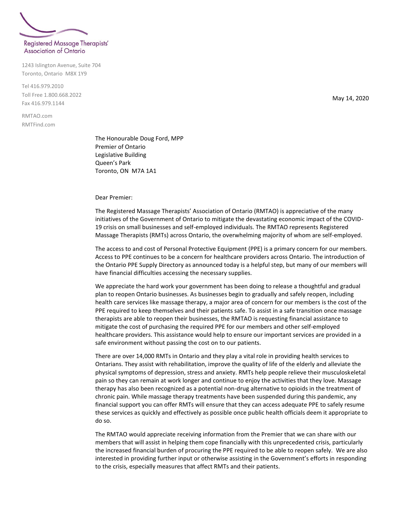

1243 Islington Avenue, Suite 704 Toronto, Ontario M8X 1Y9

Tel 416.979.2010 Toll Free 1.800.668.2022 Fax 416.979.1144

RMTAO.com RMTFind.com

> The Honourable Doug Ford, MPP Premier of Ontario Legislative Building Queen's Park Toronto, ON M7A 1A1

Dear Premier:

The Registered Massage Therapists' Association of Ontario (RMTAO) is appreciative of the many initiatives of the Government of Ontario to mitigate the devastating economic impact of the COVID-19 crisis on small businesses and self-employed individuals. The RMTAO represents Registered Massage Therapists (RMTs) across Ontario, the overwhelming majority of whom are self-employed.

The access to and cost of Personal Protective Equipment (PPE) is a primary concern for our members. Access to PPE continues to be a concern for healthcare providers across Ontario. The introduction of the Ontario PPE Supply Directory as announced today is a helpful step, but many of our members will have financial difficulties accessing the necessary supplies.

We appreciate the hard work your government has been doing to release a thoughtful and gradual plan to reopen Ontario businesses. As businesses begin to gradually and safely reopen, including health care services like massage therapy, a major area of concern for our members is the cost of the PPE required to keep themselves and their patients safe. To assist in a safe transition once massage therapists are able to reopen their businesses, the RMTAO is requesting financial assistance to mitigate the cost of purchasing the required PPE for our members and other self-employed healthcare providers. This assistance would help to ensure our important services are provided in a safe environment without passing the cost on to our patients.

There are over 14,000 RMTs in Ontario and they play a vital role in providing health services to Ontarians. They assist with rehabilitation, improve the quality of life of the elderly and alleviate the physical symptoms of depression, stress and anxiety. RMTs help people relieve their musculoskeletal pain so they can remain at work longer and continue to enjoy the activities that they love. Massage therapy has also been recognized as a potential non-drug alternative to opioids in the treatment of chronic pain. While massage therapy treatments have been suspended during this pandemic, any financial support you can offer RMTs will ensure that they can access adequate PPE to safely resume these services as quickly and effectively as possible once public health officials deem it appropriate to do so.

The RMTAO would appreciate receiving information from the Premier that we can share with our members that will assist in helping them cope financially with this unprecedented crisis, particularly the increased financial burden of procuring the PPE required to be able to reopen safely. We are also interested in providing further input or otherwise assisting in the Government's efforts in responding to the crisis, especially measures that affect RMTs and their patients.

May 14, 2020